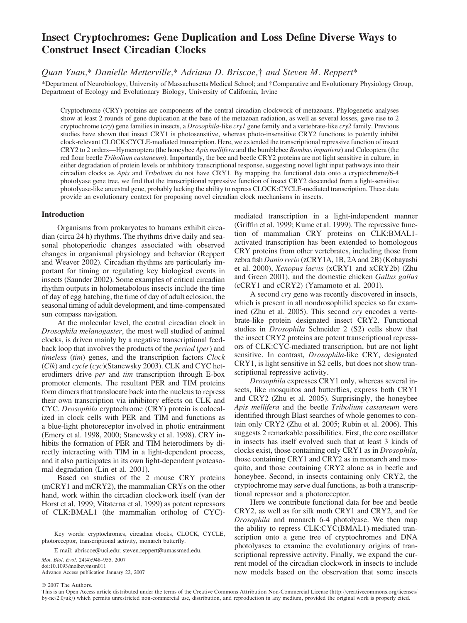# Insect Cryptochromes: Gene Duplication and Loss Define Diverse Ways to Construct Insect Circadian Clocks

# Quan Yuan,\* Danielle Metterville,\* Adriana D. Briscoe,† and Steven M. Reppert\*

\*Department of Neurobiology, University of Massachusetts Medical School; and !Comparative and Evolutionary Physiology Group, Department of Ecology and Evolutionary Biology, University of California, Irvine

Cryptochrome (CRY) proteins are components of the central circadian clockwork of metazoans. Phylogenetic analyses show at least 2 rounds of gene duplication at the base of the metazoan radiation, as well as several losses, gave rise to 2 cryptochrome (cry) gene families in insects, a Drosophila-like cryl gene family and a vertebrate-like cry2 family. Previous studies have shown that insect CRY1 is photosensitive, whereas photo-insensitive CRY2 functions to potently inhibit clock-relevant CLOCK:CYCLE-mediated transcription. Here, we extended the transcriptional repressive function of insect CRY2 to 2 orders—Hymenoptera (the honeybee Apis mellifera and the bumblebee Bombus impatiens) and Coleoptera (the red flour beetle Tribolium castaneum). Importantly, the bee and beetle CRY2 proteins are not light sensitive in culture, in either degradation of protein levels or inhibitory transcriptional response, suggesting novel light input pathways into their circadian clocks as Apis and Tribolium do not have CRY1. By mapping the functional data onto a cryptochrome/6-4 photolyase gene tree, we find that the transcriptional repressive function of insect CRY2 descended from a light-sensitive photolyase-like ancestral gene, probably lacking the ability to repress CLOCK:CYCLE-mediated transcription. These data provide an evolutionary context for proposing novel circadian clock mechanisms in insects.

## Introduction

Organisms from prokaryotes to humans exhibit circadian (circa 24 h) rhythms. The rhythms drive daily and seasonal photoperiodic changes associated with observed changes in organismal physiology and behavior (Reppert and Weaver 2002). Circadian rhythms are particularly important for timing or regulating key biological events in insects (Saunder 2002). Some examples of critical circadian rhythm outputs in holometabolous insects include the time of day of egg hatching, the time of day of adult eclosion, the seasonal timing of adult development, and time-compensated sun compass navigation.

At the molecular level, the central circadian clock in Drosophila melanogaster, the most well studied of animal clocks, is driven mainly by a negative transcriptional feedback loop that involves the products of the period (per) and timeless (tim) genes, and the transcription factors Clock (Clk) and cycle (cyc)(Stanewsky 2003). CLK and CYC heterodimers drive *per* and tim transcription through E-box promoter elements. The resultant PER and TIM proteins form dimers that translocate back into the nucleus to repress their own transcription via inhibitory effects on CLK and CYC. Drosophila cryptochrome (CRY) protein is colocalized in clock cells with PER and TIM and functions as a blue-light photoreceptor involved in photic entrainment (Emery et al. 1998, 2000; Stanewsky et al. 1998). CRY inhibits the formation of PER and TIM heterodimers by directly interacting with TIM in a light-dependent process, and it also participates in its own light-dependent proteasomal degradation (Lin et al. 2001).

Based on studies of the 2 mouse CRY proteins (mCRY1 and mCRY2), the mammalian CRYs on the other hand, work within the circadian clockwork itself (van der Horst et al. 1999; Vitaterna et al. 1999) as potent repressors of CLK:BMAL1 (the mammalian ortholog of CYC)-

Key words: cryptochromes, circadian clocks, CLOCK, CYCLE, photoreceptor, transcriptional activity, monarch butterfly.

E-mail: abriscoe@uci.edu; steven.reppert@umassmed.edu.

Mol. Biol. Evol. 24(4):948–955. 2007 doi:10.1093/molbev/msm011 Advance Access publication January 22, 2007 mediated transcription in a light-independent manner (Griffin et al. 1999; Kume et al. 1999). The repressive function of mammalian CRY proteins on CLK:BMAL1 activated transcription has been extended to homologous CRY proteins from other vertebrates, including those from zebra fish Danio rerio (zCRY1A, 1B, 2A and 2B) (Kobayashi et al. 2000), Xenopus laevis (xCRY1 and xCRY2b) (Zhu and Green 2001), and the domestic chicken Gallus gallus (cCRY1 and cCRY2) (Yamamoto et al. 2001).

A second cry gene was recently discovered in insects, which is present in all nondrosophilid species so far examined (Zhu et al. 2005). This second cry encodes a vertebrate-like protein designated insect CRY2. Functional studies in Drosophila Schneider 2 (S2) cells show that the insect CRY2 proteins are potent transcriptional repressors of CLK:CYC-mediated transcription, but are not light sensitive. In contrast, Drosophila-like CRY, designated CRY1, is light sensitive in S2 cells, but does not show transcriptional repressive activity.

Drosophila expresses CRY1 only, whereas several insects, like mosquitos and butterflies, express both CRY1 and CRY2 (Zhu et al. 2005). Surprisingly, the honeybee Apis mellifera and the beetle Tribolium castaneum were identified through Blast searches of whole genomes to contain only CRY2 (Zhu et al. 2005; Rubin et al. 2006). This suggests 2 remarkable possibilities. First, the core oscillator in insects has itself evolved such that at least 3 kinds of clocks exist, those containing only CRY1 as in Drosophila, those containing CRY1 and CRY2 as in monarch and mosquito, and those containing CRY2 alone as in beetle and honeybee. Second, in insects containing only CRY2, the cryptochrome may serve dual functions, as both a transcriptional repressor and a photoreceptor.

Here we contribute functional data for bee and beetle CRY2, as well as for silk moth CRY1 and CRY2, and for Drosophila and monarch 6-4 photolyase. We then map the ability to repress CLK:CYC(BMAL1)-mediated transcription onto a gene tree of cryptochromes and DNA photolyases to examine the evolutionary origins of transcriptional repressive activity. Finally, we expand the current model of the circadian clockwork in insects to include new models based on the observation that some insects

 $© 2007$  The Authors.

This is an Open Access article distributed under the terms of the Creative Commons Attribution Non-Commercial License [\(http://creativecommons.org/licenses/](http://creativecommons.org/licenses/by-nc/2.0/uk/) [by-nc/2.0/uk/\)](http://creativecommons.org/licenses/by-nc/2.0/uk/) which permits unrestricted non-commercial use, distribution, and reproduction in any medium, provided the original work is properly cited.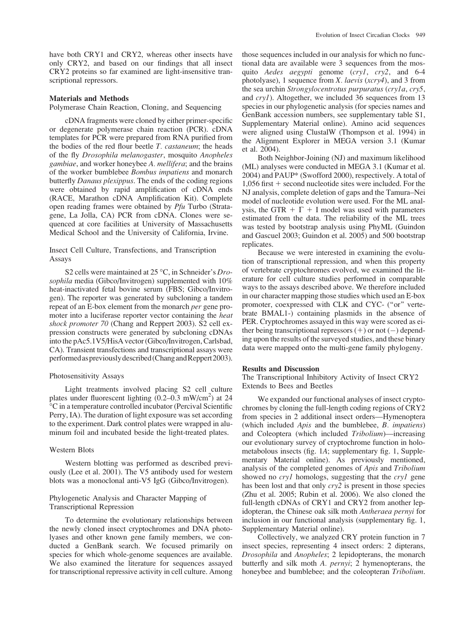have both CRY1 and CRY2, whereas other insects have only CRY2, and based on our findings that all insect CRY2 proteins so far examined are light-insensitive transcriptional repressors.

## Materials and Methods

Polymerase Chain Reaction, Cloning, and Sequencing

cDNA fragments were cloned by either primer-specific or degenerate polymerase chain reaction (PCR). cDNA templates for PCR were prepared from RNA purified from the bodies of the red flour beetle  $T$ . *castaneum*; the heads of the fly Drosophila melanogaster, mosquito Anopheles gambiae, and worker honeybee A. mellifera; and the brains of the worker bumblebee Bombus impatiens and monarch butterfly Danaus plexippus. The ends of the coding regions were obtained by rapid amplification of cDNA ends (RACE, Marathon cDNA Amplification Kit). Complete open reading frames were obtained by Pfu Turbo (Stratagene, La Jolla, CA) PCR from cDNA. Clones were sequenced at core facilities at University of Massachusetts Medical School and the University of California, Irvine.

# Insect Cell Culture, Transfections, and Transcription Assays

S2 cells were maintained at 25 °C, in Schneider's Drosophila media (Gibco/Invitrogen) supplemented with 10% heat-inactivated fetal bovine serum (FBS; Gibco/Invitrogen). The reporter was generated by subcloning a tandem repeat of an E-box element from the monarch per gene promoter into a luciferase reporter vector containing the heat shock promoter 70 (Chang and Reppert 2003). S2 cell expression constructs were generated by subcloning cDNAs into the pAc5.1V5/HisA vector (Gibco/Invitrogen, Carlsbad, CA). Transient transfections and transcriptional assays were performedaspreviouslydescribed (ChangandReppert2003).

# Photosensitivity Assays

Light treatments involved placing S2 cell culture plates under fluorescent lighting (0.2–0.3 mW/cm<sup>2</sup>) at 24 "C in a temperature controlled incubator (Percival Scientific Perry, IA). The duration of light exposure was set according to the experiment. Dark control plates were wrapped in aluminum foil and incubated beside the light-treated plates.

### Western Blots

Western blotting was performed as described previously (Lee et al. 2001). The V5 antibody used for western blots was a monoclonal anti-V5 IgG (Gibco/Invitrogen).

# Phylogenetic Analysis and Character Mapping of Transcriptional Repression

To determine the evolutionary relationships between the newly cloned insect cryptochromes and DNA photolyases and other known gene family members, we conducted a GenBank search. We focused primarily on species for which whole-genome sequences are available. We also examined the literature for sequences assayed for transcriptional repressive activity in cell culture. Among those sequences included in our analysis for which no functional data are available were 3 sequences from the mosquito *Aedes aegypti* genome (cryl, cry2, and 6-4 photolyase), 1 sequence from *X*. *laevis* (*xcry4*), and 3 from the sea urchin Strongylocentrotus purpuratus (cry1a, cry5, and cry1). Altogether, we included 36 sequences from 13 species in our phylogenetic analysis (for species names and GenBank accession numbers, see supplementary table S1, Supplementary Material online). Amino acid sequences were aligned using ClustalW (Thompson et al. 1994) in the Alignment Explorer in MEGA version 3.1 (Kumar et al. 2004).

Both Neighbor-Joining (NJ) and maximum likelihood (ML) analyses were conducted in MEGA 3.1 (Kumar et al. 2004) and PAUP\* (Swofford 2000), respectively. A total of  $1,056$  first  $+$  second nucleotide sites were included. For the NJ analysis, complete deletion of gaps and the Tamura–Nei model of nucleotide evolution were used. For the ML analysis, the GTR +  $\Gamma$  + I model was used with parameters estimated from the data. The reliability of the ML trees was tested by bootstrap analysis using PhyML (Guindon and Gascuel 2003; Guindon et al. 2005) and 500 bootstrap replicates.

Because we were interested in examining the evolution of transcriptional repression, and when this property of vertebrate cryptochromes evolved, we examined the literature for cell culture studies performed in comparable ways to the assays described above. We therefore included in our character mapping those studies which used an E-box promoter, coexpressed with CLK and CYC- (''or'' vertebrate BMAL1-) containing plasmids in the absence of PER. Cryptochromes assayed in this way were scored as either being transcriptional repressors  $(+)$  or not  $(-)$  depending upon the results of the surveyed studies, and these binary data were mapped onto the multi-gene family phylogeny.

### Results and Discussion

The Transcriptional Inhibitory Activity of Insect CRY2 Extends to Bees and Beetles

We expanded our functional analyses of insect cryptochromes by cloning the full-length coding regions of CRY2 from species in 2 additional insect orders—Hymenoptera (which included Apis and the bumblebee, B. impatiens) and Coleoptera (which included Tribolium)—increasing our evolutionary survey of cryptochrome function in holometabolous insects (fig. 1A; supplementary fig. 1, Supplementary Material online). As previously mentioned, analysis of the completed genomes of Apis and Tribolium showed no *cryl* homologs, suggesting that the *cryl* gene has been lost and that only  $crv2$  is present in those species (Zhu et al. 2005; Rubin et al. 2006). We also cloned the full-length cDNAs of CRY1 and CRY2 from another lepidopteran, the Chinese oak silk moth Antheraea pernyi for inclusion in our functional analysis (supplementary fig. 1, Supplementary Material online).

Collectively, we analyzed CRY protein function in 7 insect species, representing 4 insect orders: 2 dipterans, Drosophila and Anopheles; 2 lepidopterans, the monarch butterfly and silk moth A. pernyi; 2 hymenopterans, the honeybee and bumblebee; and the coleopteran *Tribolium*.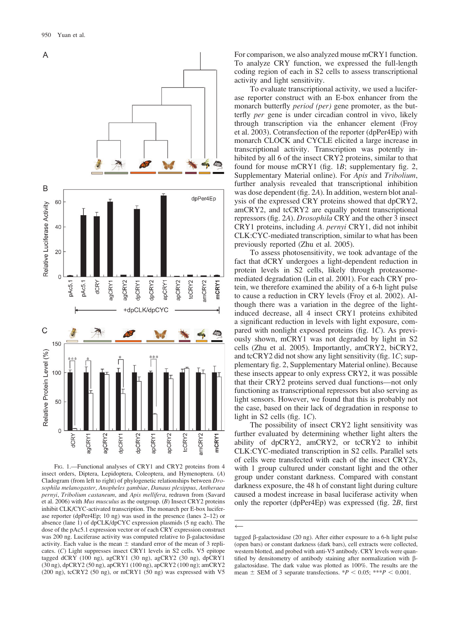

FIG. 1.-Functional analyses of CRY1 and CRY2 proteins from 4 insect orders, Diptera, Lepidoptera, Coleoptera, and Hymenoptera. (A) Cladogram (from left to right) of phylogenetic relationships between Drosophila melanogaster, Anopheles gambiae, Danaus plexippus, Antheraea pernyi, Tribolium castaneum, and Apis mellifera, redrawn from (Savard et al. 2006) with Mus musculus as the outgroup. (B) Insect CRY2 proteins inhibit CLK/CYC-activated transcription. The monarch per E-box luciferase reporter (dpPer4Ep; 10 ng) was used in the presence (lanes 2–12) or absence (lane 1) of dpCLK/dpCYC expression plasmids (5 ng each). The dose of the pAc5.1 expression vector or of each CRY expression construct was 200 ng. Luciferase activity was computed relative to  $\beta$ -galactosidase activity. Each value is the mean  $\pm$  standard error of the mean of 3 replicates. (C) Light suppresses insect CRY1 levels in S2 cells. V5 epitope tagged dCRY (100 ng), agCRY1 (30 ng), agCRY2 (30 ng), dpCRY1 (30 ng), dpCRY2 (50 ng), apCRY1 (100 ng), apCRY2 (100 ng); amCRY2 (200 ng), tcCRY2 (50 ng), or mCRY1 (50 ng) was expressed with V5

For comparison, we also analyzed mouse mCRY1 function. To analyze CRY function, we expressed the full-length coding region of each in S2 cells to assess transcriptional activity and light sensitivity.

To evaluate transcriptional activity, we used a luciferase reporter construct with an E-box enhancer from the monarch butterfly *period* (*per*) gene promoter, as the butterfly per gene is under circadian control in vivo, likely through transcription via the enhancer element (Froy et al. 2003). Cotransfection of the reporter (dpPer4Ep) with monarch CLOCK and CYCLE elicited a large increase in transcriptional activity. Transcription was potently inhibited by all 6 of the insect CRY2 proteins, similar to that found for mouse mCRY1 (fig. 1B; supplementary fig. 2, Supplementary Material online). For Apis and Tribolium, further analysis revealed that transcriptional inhibition was dose dependent (fig. 2A). In addition, western blot analysis of the expressed CRY proteins showed that dpCRY2, amCRY2, and tcCRY2 are equally potent transcriptional repressors (fig. 2A). Drosophila CRY and the other 3 insect CRY1 proteins, including A. pernyi CRY1, did not inhibit CLK:CYC-mediated transcription, similar to what has been previously reported (Zhu et al. 2005).

To assess photosensitivity, we took advantage of the fact that dCRY undergoes a light-dependent reduction in protein levels in S2 cells, likely through proteasomemediated degradation (Lin et al. 2001). For each CRY protein, we therefore examined the ability of a 6-h light pulse to cause a reduction in CRY levels (Froy et al. 2002). Although there was a variation in the degree of the lightinduced decrease, all 4 insect CRY1 proteins exhibited a significant reduction in levels with light exposure, compared with nonlight exposed proteins (fig. 1C). As previously shown, mCRY1 was not degraded by light in S2 cells (Zhu et al. 2005). Importantly, amCRY2, biCRY2, and tcCRY2 did not show any light sensitivity (fig. 1C; supplementary fig. 2, Supplementary Material online). Because these insects appear to only express CRY2, it was possible that their CRY2 proteins served dual functions—not only functioning as transcriptional repressors but also serving as light sensors. However, we found that this is probably not the case, based on their lack of degradation in response to light in S2 cells (fig.  $1C$ ).

The possibility of insect CRY2 light sensitivity was further evaluated by determining whether light alters the ability of dpCRY2, amCRY2, or tcCRY2 to inhibit CLK:CYC-mediated transcription in S2 cells. Parallel sets of cells were transfected with each of the insect CRY2s, with 1 group cultured under constant light and the other group under constant darkness. Compared with constant darkness exposure, the 48 h of constant light during culture caused a modest increase in basal luciferase activity when only the reporter (dpPer4Ep) was expressed (fig. 2B, first

 $\leftarrow$ 

tagged  $\beta$ -galactosidase (20 ng). After either exposure to a 6-h light pulse (open bars) or constant darkness (dark bars), cell extracts were collected, western blotted, and probed with anti-V5 antibody. CRY levels were quantified by densitometry of antibody staining after normalization with  $\beta$ galactosidase. The dark value was plotted as 100%. The results are the mean  $\pm$  SEM of 3 separate transfections. \*P < 0.05; \*\*\*P < 0.001.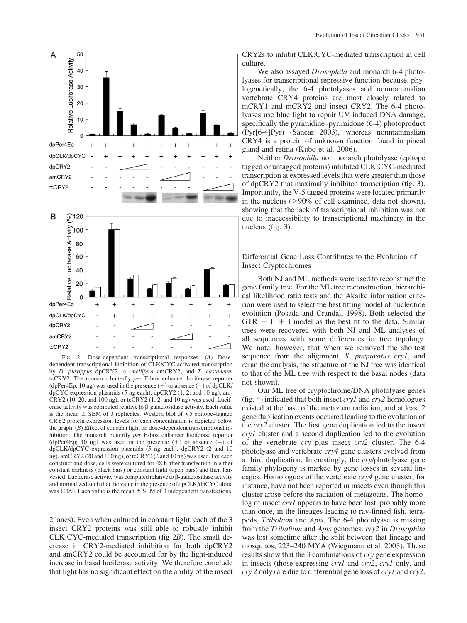

FIG. 2.—Dose-dependent transcriptional responses. (A) Dosedependent transcriptional inhibition of CLK/CYC-activated transcription by D. plexippus dpCRY2, A. mellifera amCRY2, and T. castaneum tcCRY2. The monarch butterfly per E-box enhancer luciferase reporter (dpPer4Ep; 10 ng) was used in the presence  $(+)$  or absence  $(-)$  of dpCLK/ dpCYC expression plasmids (5 ng each). dpCRY2 (1, 2, and 10 ng), am-CRY2 (10, 20, and 100 ng), or tcCRY2 (1, 2, and 10 ng) was used. Luciferase activity was computed relative to  $\beta$ -galactosidase activity. Each value is the mean  $\pm$  SEM of 3 replicates. Western blot of V5 epitope–tagged CRY2 protein expression levels for each concentration is depicted below the graph. (B) Effect of constant light on dose-dependent transcriptional inhibition. The monarch butterfly per E-box enhancer luciferase reporter (dpPer4Ep; 10 ng) was used in the presence  $(+)$  or absence  $(-)$  of dpCLK/dpCYC expression plasmids (5 ng each). dpCRY2 (2 and 10 ng), amCRY2 (20 and 100 ng), or tcCRY2 (2 and 10 ng) was used. For each construct and dose, cells were cultured for 48 h after transfection in either constant darkness (black bars) or constant light (open bars) and then harvested. Luciferase activity was computed relative to  $\beta$ -galactosidase activity and normalized such that the value in the presence of dpCLK/dpCYC alone was 100%. Each value is the mean  $\pm$  SEM of 3 independent transfections.

2 lanes). Even when cultured in constant light, each of the 3 insect CRY2 proteins was still able to robustly inhibit CLK:CYC-mediated transcription (fig 2B). The small decrease in CRY2-mediated inhibition for both dpCRY2 and amCRY2 could be accounted for by the light-induced increase in basal luciferase activity. We therefore conclude that light has no significant effect on the ability of the insect CRY2s to inhibit CLK:CYC-mediated transcription in cell culture.

We also assayed *Drosophila* and monarch 6-4 photolyases for transcriptional repressive function because, phylogenetically, the 6-4 photolyases and nonmammalian vertebrate CRY4 proteins are most closely related to mCRY1 and mCRY2 and insect CRY2. The 6-4 photolyases use blue light to repair UV induced DNA damage, specifically the pyrimidine–pyrimidone (6-4) photoproduct (Pyr[6-4]Pyr) (Sancar 2003), whereas nonmammalian CRY4 is a protein of unknown function found in pineal gland and retina (Kubo et al. 2006).

Neither Drosophila nor monarch photolyase (epitope tagged or untagged proteins) inhibited CLK:CYC-mediated transcription at expressed levels that were greater than those of dpCRY2 that maximally inhibited transcription (fig. 3). Importantly, the V-5 tagged proteins were located primarily in the nucleus  $(>90\%$  of cell examined, data not shown), showing that the lack of transcriptional inhibition was not due to inaccessibility to transcriptional machinery in the nucleus (fig. 3).

Differential Gene Loss Contributes to the Evolution of Insect Cryptochromes

Both NJ and ML methods were used to reconstruct the gene family tree. For the ML tree reconstruction, hierarchical likelihood ratio tests and the Akaike information criterion were used to select the best fitting model of nucleotide evolution (Posada and Crandall 1998). Both selected the GTR  $+ \Gamma + I$  model as the best fit to the data. Similar trees were recovered with both NJ and ML analyses of all sequences with some differences in tree topology. We note, however, that when we removed the shortest sequence from the alignment, S. purpuratus cryl, and reran the analysis, the structure of the NJ tree was identical to that of the ML tree with respect to the basal nodes (data not shown).

Our ML tree of cryptochrome/DNA photolyase genes (fig. 4) indicated that both insect  $cryl$  and  $cryl$  homologues existed at the base of the metazoan radiation, and at least 2 gene duplication events occurred leading to the evolution of the cry2 cluster. The first gene duplication led to the insect cry1 cluster and a second duplication led to the evolution of the vertebrate cry plus insect cry2 cluster. The 6-4 photolyase and vertebrate cry4 gene clusters evolved from a third duplication. Interestingly, the cry/photolyase gene family phylogeny is marked by gene losses in several lineages. Homologues of the vertebrate cry4 gene cluster, for instance, have not been reported in insects even though this cluster arose before the radiation of metazoans. The homolog of insect cry1 appears to have been lost, probably more than once, in the lineages leading to ray-finned fish, tetrapods, Tribolium and Apis. The 6-4 photolyase is missing from the Tribolium and Apis genomes. cry2 in Drosophila was lost sometime after the split between that lineage and mosquitos, 223–240 MYA (Wiegmann et al. 2003). These results show that the 3 combinations of cry gene expression in insects (those expressing cry1 and cry2, cry1 only, and cry 2 only) are due to differential gene loss of cry1 and cry2.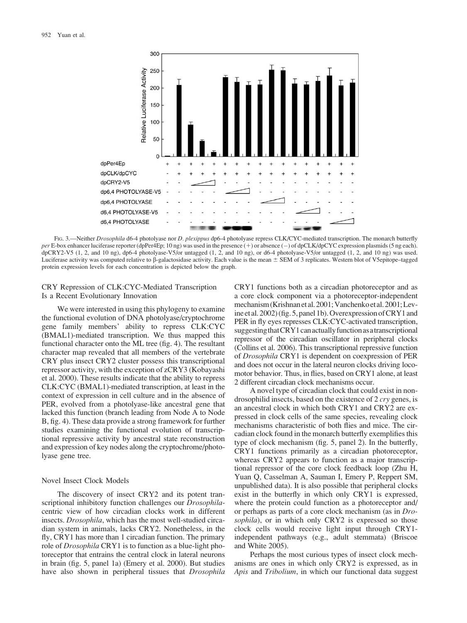

FIG. 3.—Neither Drosophila d6-4 photolyase nor D. plexippus dp6-4 photolyase repress CLK/CYC-mediated transcription. The monarch butterfly per E-box enhancer luciferase reporter (dpPer4Ep; 10 ng) was used in the presence (+) or absence (-) of dpCLK/dpCYC expression plasmids (5 ng each). dpCRY2-V5 (1, 2, and 10 ng), dp6-4 photolyase-V5/or untagged (1, 2, and 10 ng), or d6-4 photolyase-V5/or untagged (1, 2, and 10 ng) was used. Luciferase activity was computed relative to  $\beta$ -galactosidase activity. Each value is the mean  $\pm$  SEM of 3 replicates. Western blot of V5epitope–tagged protein expression levels for each concentration is depicted below the graph.

# CRY Repression of CLK:CYC-Mediated Transcription Is a Recent Evolutionary Innovation

We were interested in using this phylogeny to examine the functional evolution of DNA photolyase/cryptochrome gene family members' ability to repress CLK:CYC (BMAL1)-mediated transcription. We thus mapped this functional character onto the ML tree (fig. 4). The resultant character map revealed that all members of the vertebrate CRY plus insect CRY2 cluster possess this transcriptional repressor activity, with the exception of zCRY3 (Kobayashi et al. 2000). These results indicate that the ability to repress CLK:CYC (BMAL1)-mediated transcription, at least in the context of expression in cell culture and in the absence of PER, evolved from a photolyase-like ancestral gene that lacked this function (branch leading from Node A to Node B, fig. 4). These data provide a strong framework for further studies examining the functional evolution of transcriptional repressive activity by ancestral state reconstruction and expression of key nodes along the cryptochrome/photolyase gene tree.

# Novel Insect Clock Models

The discovery of insect CRY2 and its potent transcriptional inhibitory function challenges our *Drosophila*centric view of how circadian clocks work in different insects. Drosophila, which has the most well-studied circadian system in animals, lacks CRY2. Nonetheless, in the fly, CRY1 has more than 1 circadian function. The primary role of *Drosophila* CRY1 is to function as a blue-light photoreceptor that entrains the central clock in lateral neurons in brain (fig. 5, panel 1a) (Emery et al. 2000). But studies have also shown in peripheral tissues that *Drosophila* 

CRY1 functions both as a circadian photoreceptor and as a core clock component via a photoreceptor-independent mechanism (Krishnan et al. 2001; Vanchenko et al. 2001; Levine et al. 2002) (fig. 5, panel 1b). Overexpression ofCRY1 and PER in fly eyes represses CLK:CYC-activated transcription, suggesting that CRY1 can actually function as a transcriptional repressor of the circadian oscillator in peripheral clocks (Collins et al. 2006). This transcriptional repressive function of Drosophila CRY1 is dependent on coexpression of PER and does not occur in the lateral neuron clocks driving locomotor behavior. Thus, in flies, based on CRY1 alone, at least 2 different circadian clock mechanisms occur.

A novel type of circadian clock that could exist in nondrosophilid insects, based on the existence of 2 cry genes, is an ancestral clock in which both CRY1 and CRY2 are expressed in clock cells of the same species, revealing clock mechanisms characteristic of both flies and mice. The circadian clock found in the monarch butterfly exemplifies this type of clock mechanism (fig. 5, panel 2). In the butterfly, CRY1 functions primarily as a circadian photoreceptor, whereas CRY2 appears to function as a major transcriptional repressor of the core clock feedback loop (Zhu H, Yuan Q, Casselman A, Sauman I, Emery P, Reppert SM, unpublished data). It is also possible that peripheral clocks exist in the butterfly in which only CRY1 is expressed, where the protein could function as a photoreceptor and/ or perhaps as parts of a core clock mechanism (as in Drosophila), or in which only CRY2 is expressed so those clock cells would receive light input through CRY1 independent pathways (e.g., adult stemmata) (Briscoe and White 2005).

Perhaps the most curious types of insect clock mechanisms are ones in which only CRY2 is expressed, as in Apis and Tribolium, in which our functional data suggest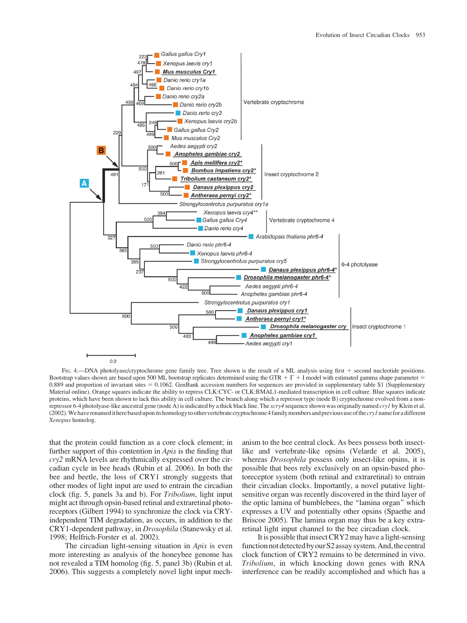

FIG. 4.—DNA photolyase/cryptochrome gene family tree. Tree shown is the result of a ML analysis using first + second nucleotide positions. Bootstrap values shown are based upon 500 ML bootstrap replicates determined using the GTR +  $\Gamma$  + I model with estimated gamma shape parameter = 0.889 and proportion of invariant sites = 0.1062. GenBank accession numbers for sequences are provided in supplementary table S1 (Supplementary Material online). Orange squares indicate the ability to repress CLK:CYC- or CLK:BMAL1-mediated transcription in cell culture. Blue squares indicate proteins, which have been shown to lack this ability in cell culture. The branch along which a repressor type (node B) cryptochrome evolved from a nonrepressor 6-4 photolyase-like ancestral gene (node A) is indicated by a thick black line. The  $xcry4$  sequence shown was originally named  $cry1$  by Klein et al. (2002). We have renamed it here based upon its homology to other vertebrate cryptochrome 4 family members and previous use of the *cryl* name for a different Xenopus homolog.

that the protein could function as a core clock element; in further support of this contention in Apis is the finding that cry2 mRNA levels are rhythmically expressed over the circadian cycle in bee heads (Rubin et al. 2006). In both the bee and beetle, the loss of CRY1 strongly suggests that other modes of light input are used to entrain the circadian clock (fig. 5, panels 3a and b). For Tribolium, light input might act through opsin-based retinal and extraretinal photoreceptors (Gilbert 1994) to synchronize the clock via CRYindependent TIM degradation, as occurs, in addition to the CRY1-dependent pathway, in Drosophila (Stanewsky et al. 1998; Helfrich-Forster et al. 2002).

The circadian light-sensing situation in *Apis* is even more interesting as analysis of the honeybee genome has not revealed a TIM homolog (fig. 5, panel 3b) (Rubin et al. 2006). This suggests a completely novel light input mech-

anism to the bee central clock. As bees possess both insectlike and vertebrate-like opsins (Velarde et al. 2005), whereas Drosophila possess only insect-like opsins, it is possible that bees rely exclusively on an opsin-based photoreceptor system (both retinal and extraretinal) to entrain their circadian clocks. Importantly, a novel putative lightsensitive organ was recently discovered in the third layer of the optic lamina of bumblebees, the ''lamina organ'' which expresses a UV and potentially other opsins (Spaethe and Briscoe 2005). The lamina organ may thus be a key extraretinal light input channel to the bee circadian clock.

It is possible that insect CRY2 may have a light-sensing function not detected by our S2 assay system. And, the central clock function of CRY2 remains to be determined in vivo. Tribolium, in which knocking down genes with RNA interference can be readily accomplished and which has a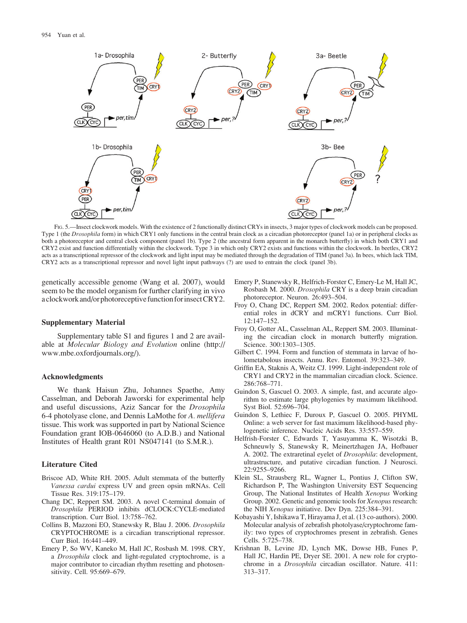

FIG. 5.—Insect clockwork models. With the existence of 2 functionally distinct CRYs in insects, 3 major types of clockwork models can be proposed. Type 1 (the *Drosophila* form) in which CRY1 only functions in the central brain clock as a circadian photoreceptor (panel 1a) or in peripheral clocks as both a photoreceptor and central clock component (panel 1b). Type 2 (the ancestral form apparent in the monarch butterfly) in which both CRY1 and CRY2 exist and function differentially within the clockwork. Type 3 in which only CRY2 exists and functions within the clockwork. In beetles, CRY2 acts as a transcriptional repressor of the clockwork and light input may be mediated through the degradation of TIM (panel 3a). In bees, which lack TIM, CRY2 acts as a transcriptional repressor and novel light input pathways (?) are used to entrain the clock (panel 3b).

genetically accessible genome (Wang et al. 2007), would seem to be the model organism for further clarifying in vivo a clockwork and/or photoreceptive function forinsectCRY2.

### Supplementary Material

Supplementary table S1 and figures 1 and 2 are available at Molecular Biology and Evolution online [\(http://](http://www.mbe.oxfordjournals.org/) [www.mbe.oxfordjournals.org/\).](http://www.mbe.oxfordjournals.org/)

## Acknowledgments

We thank Haisun Zhu, Johannes Spaethe, Amy Casselman, and Deborah Jaworski for experimental help and useful discussions, Aziz Sancar for the Drosophila 6-4 photolyase clone, and Dennis LaMothe for A. mellifera tissue. This work was supported in part by National Science Foundation grant IOB-0646060 (to A.D.B.) and National Institutes of Health grant R01 NS047141 (to S.M.R.).

## Literature Cited

- Briscoe AD, White RH. 2005. Adult stemmata of the butterfly Vanessa cardui express UV and green opsin mRNAs. Cell Tissue Res. 319:175–179.
- Chang DC, Reppert SM. 2003. A novel C-terminal domain of Drosophila PERIOD inhibits dCLOCK:CYCLE-mediated transcription. Curr Biol. 13:758–762.
- Collins B, Mazzoni EO, Stanewsky R, Blau J. 2006. Drosophila CRYPTOCHROME is a circadian transcriptional repressor. Curr Biol. 16:441–449.
- Emery P, So WV, Kaneko M, Hall JC, Rosbash M. 1998. CRY, a Drosophila clock and light-regulated cryptochrome, is a major contributor to circadian rhythm resetting and photosensitivity. Cell. 95:669–679.
- Emery P, Stanewsky R, Helfrich-Forster C, Emery-Le M, Hall JC, Rosbash M. 2000. Drosophila CRY is a deep brain circadian photoreceptor. Neuron. 26:493–504.
- Froy O, Chang DC, Reppert SM. 2002. Redox potential: differential roles in dCRY and mCRY1 functions. Curr Biol. 12:147–152.
- Froy O, Gotter AL, Casselman AL, Reppert SM. 2003. Illuminating the circadian clock in monarch butterfly migration. Science. 300:1303–1305.
- Gilbert C. 1994. Form and function of stemmata in larvae of holometabolous insects. Annu. Rev. Entomol. 39:323–349.
- Griffin EA, Staknis A, Weitz CJ. 1999. Light-independent role of CRY1 and CRY2 in the mammalian circadian clock. Science. 286:768–771.
- Guindon S, Gascuel O. 2003. A simple, fast, and accurate algorithm to estimate large phylogenies by maximum likelihood. Syst Biol. 52:696–704.
- Guindon S, Lethiec F, Duroux P, Gascuel O. 2005. PHYML Online: a web server for fast maximum likelihood-based phylogenetic inference. Nucleic Acids Res. 33:557–559.
- Helfrish-Forster C, Edwards T, Yasuyamma K, Wisotzki B, Schneuwly S, Stanewsky R, Meinertzhagen JA, Hofbauer A. 2002. The extraretinal eyelet of Drosophila: development, ultrastructure, and putative circadian function. J Neurosci. 22:9255–9266.
- Klein SL, Strausberg RL, Wagner L, Pontius J, Clifton SW, Richardson P, The Washington University EST Sequencing Group, The National Institutes of Health Xenopus Working Group. 2002. Genetic and genomic tools for Xenopus research: the NIH Xenopus initiative. Dev Dyn. 225:384–391.
- Kobayashi Y, Ishikawa T, Hirayama J, et al. (13 co-authors). 2000. Molecular analysis of zebrafish photolyase/cryptochrome family: two types of cryptochromes present in zebrafish. Genes Cells. 5:725–738.
- Krishnan B, Levine JD, Lynch MK, Dowse HB, Funes P, Hall JC, Hardin PE, Dryer SE. 2001. A new role for cryptochrome in a Drosophila circadian oscillator. Nature. 411: 313–317.